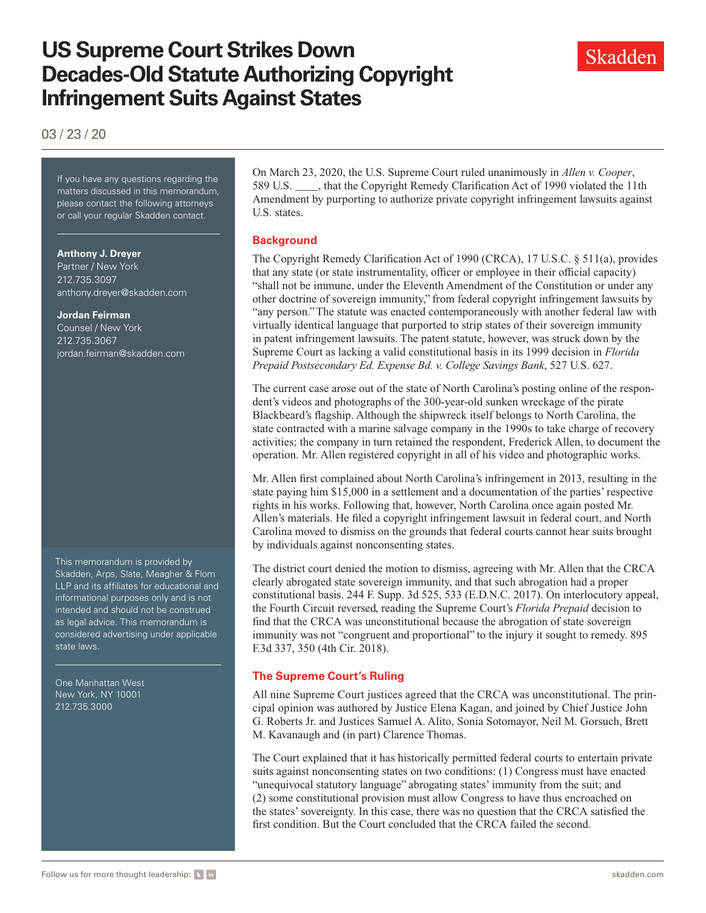# **US Supreme Court Strikes Down Decades-Old Statute Authorizing Copyright Infringement Suits Against States**

03 / 23 / 20

If you have any questions regarding If you have any questions regarding the matters discussed in this memorandum, please contact the following attorneys or call your regular Skadden contact.

#### **Anthony J. Dreyer**

Partner / New York 212.735.3097 [anthony.dreyer@skadden.com](mailto:anthony.dreyer@skadden.com)

#### **Jordan Feirman**

Counsel / New York 212.735.3067 [jordan.feirman@skadden.com](mailto:jordan.feirman@skadden.com)

This memorandum is provided by Skadden, Arps, Slate, Meagher & Flom LLP and its affiliates for educational and informational purposes only and is not intended and should not be construed as legal advice. This memorandum is considered advertising under applicable state laws.

One Manhattan West New York, NY 10001 212.735.3000

On March 23, 2020, the U.S. Supreme Court ruled unanimously in *Allen v. Cooper*, 589 U.S. \_\_\_\_, that the Copyright Remedy Clarification Act of 1990 violated the 11th Amendment by purporting to authorize private copyright infringement lawsuits against U.S. states.

### **Background**

The Copyright Remedy Clarification Act of 1990 (CRCA), 17 U.S.C. § 511(a), provides that any state (or state instrumentality, officer or employee in their official capacity) "shall not be immune, under the Eleventh Amendment of the Constitution or under any other doctrine of sovereign immunity," from federal copyright infringement lawsuits by "any person." The statute was enacted contemporaneously with another federal law with virtually identical language that purported to strip states of their sovereign immunity in patent infringement lawsuits. The patent statute, however, was struck down by the Supreme Court as lacking a valid constitutional basis in its 1999 decision in *Florida Prepaid Postsecondary Ed. Expense Bd. v. College Savings Bank*, 527 U.S. 627.

The current case arose out of the state of North Carolina's posting online of the respondent's videos and photographs of the 300-year-old sunken wreckage of the pirate Blackbeard's flagship. Although the shipwreck itself belongs to North Carolina, the state contracted with a marine salvage company in the 1990s to take charge of recovery activities; the company in turn retained the respondent, Frederick Allen, to document the operation. Mr. Allen registered copyright in all of his video and photographic works.

Mr. Allen first complained about North Carolina's infringement in 2013, resulting in the state paying him \$15,000 in a settlement and a documentation of the parties' respective rights in his works. Following that, however, North Carolina once again posted Mr. Allen's materials. He filed a copyright infringement lawsuit in federal court, and North Carolina moved to dismiss on the grounds that federal courts cannot hear suits brought by individuals against nonconsenting states.

The district court denied the motion to dismiss, agreeing with Mr. Allen that the CRCA clearly abrogated state sovereign immunity, and that such abrogation had a proper constitutional basis. 244 F. Supp. 3d 525, 533 (E.D.N.C. 2017). On interlocutory appeal, the Fourth Circuit reversed, reading the Supreme Court's *Florida Prepaid* decision to find that the CRCA was unconstitutional because the abrogation of state sovereign immunity was not "congruent and proportional" to the injury it sought to remedy. 895 F.3d 337, 350 (4th Cir. 2018).

## **The Supreme Court's Ruling**

All nine Supreme Court justices agreed that the CRCA was unconstitutional. The principal opinion was authored by Justice Elena Kagan, and joined by Chief Justice John G. Roberts Jr. and Justices Samuel A. Alito, Sonia Sotomayor, Neil M. Gorsuch, Brett M. Kavanaugh and (in part) Clarence Thomas.

The Court explained that it has historically permitted federal courts to entertain private suits against nonconsenting states on two conditions: (1) Congress must have enacted "unequivocal statutory language" abrogating states' immunity from the suit; and (2) some constitutional provision must allow Congress to have thus encroached on the states' sovereignty. In this case, there was no question that the CRCA satisfied the first condition. But the Court concluded that the CRCA failed the second.